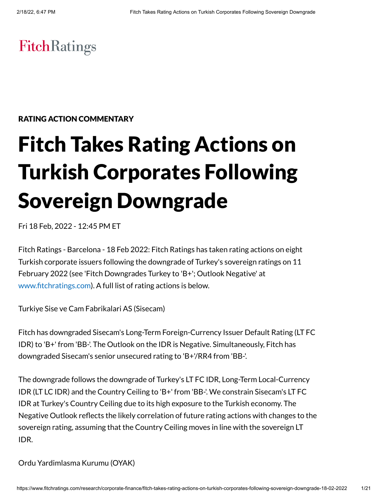# **FitchRatings**

# RATING ACTION COMMENTARY

# Fitch Takes Rating Actions on Turkish Corporates Following Sovereign Downgrade

Fri 18 Feb, 2022 - 12:45 PM ET

Fitch Ratings - Barcelona - 18 Feb 2022: Fitch Ratings has taken rating actions on eight Turkish corporate issuers following the downgrade of Turkey's sovereign ratings on 11 February 2022 (see 'Fitch Downgrades Turkey to 'B+'; Outlook Negative' at [www.fitchratings.com](http://www.fitchratings.com/)). A full list of rating actions is below.

Turkiye Sise ve Cam Fabrikalari AS (Sisecam)

Fitch has downgraded Sisecam's Long-Term Foreign-Currency Issuer Default Rating (LT FC IDR) to 'B+' from 'BB-'. The Outlook on the IDR is Negative. Simultaneously, Fitch has downgraded Sisecam's senior unsecured rating to 'B+'/RR4 from 'BB-'.

The downgrade follows the downgrade of Turkey's LT FC IDR, Long-Term Local-Currency IDR (LT LC IDR) and the Country Ceiling to 'B+' from 'BB-'. We constrain Sisecam's LT FC IDR at Turkey's Country Ceiling due to its high exposure to the Turkish economy. The Negative Outlook reflects the likely correlation of future rating actions with changes to the sovereign rating, assuming that the Country Ceiling moves in line with the sovereign LT IDR.

Ordu Yardimlasma Kurumu (OYAK)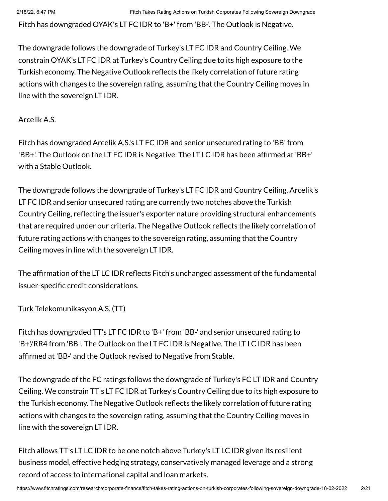Fitch has downgraded OYAK's LT FC IDR to 'B+' from 'BB-'. The Outlook is Negative.

The downgrade follows the downgrade of Turkey's LT FC IDR and Country Ceiling. We constrain OYAK's LT FC IDR at Turkey's Country Ceiling due to its high exposure to the Turkish economy. The Negative Outlook reflects the likely correlation of future rating actions with changes to the sovereign rating, assuming that the Country Ceiling moves in line with the sovereign LT IDR.

#### Arcelik A.S.

Fitch has downgraded Arcelik A.S.'s LT FC IDR and senior unsecured rating to 'BB' from 'BB+'. The Outlook on the LT FC IDR is Negative. The LT LC IDR has been affirmed at 'BB+' with a Stable Outlook.

The downgrade follows the downgrade of Turkey's LT FC IDR and Country Ceiling. Arcelik's LT FC IDR and senior unsecured rating are currently two notches above the Turkish Country Ceiling, reflecting the issuer's exporter nature providing structural enhancements that are required under our criteria. The Negative Outlook reflects the likely correlation of future rating actions with changes to the sovereign rating, assuming that the Country Ceiling moves in line with the sovereign LT IDR.

The affirmation of the LT LC IDR reflects Fitch's unchanged assessment of the fundamental issuer-specific credit considerations.

Turk Telekomunikasyon A.S. (TT)

Fitch has downgraded TT's LT FC IDR to 'B+' from 'BB-' and senior unsecured rating to 'B+'/RR4 from 'BB-'. The Outlook on the LT FC IDR is Negative. The LT LC IDR has been affirmed at 'BB-' and the Outlook revised to Negative from Stable.

The downgrade of the FC ratings follows the downgrade of Turkey's FC LT IDR and Country Ceiling. We constrain TT's LT FC IDR at Turkey's Country Ceiling due to its high exposure to the Turkish economy. The Negative Outlook reflects the likely correlation of future rating actions with changes to the sovereign rating, assuming that the Country Ceiling moves in line with the sovereign LT IDR.

Fitch allows TT's LT LC IDR to be one notch above Turkey's LT LC IDR given its resilient business model, effective hedging strategy, conservatively managed leverage and a strong record of access to international capital and loan markets.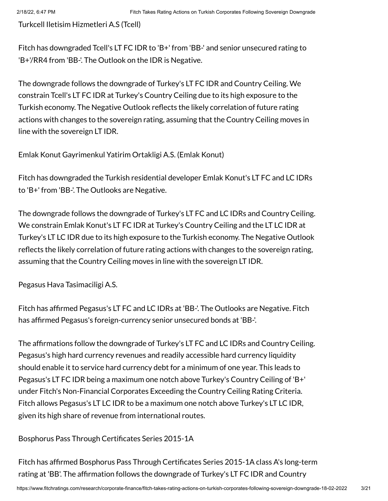Turkcell Iletisim Hizmetleri A.S (Tcell)

Fitch has downgraded Tcell's LT FC IDR to 'B+' from 'BB-' and senior unsecured rating to 'B+'/RR4 from 'BB-'. The Outlook on the IDR is Negative.

The downgrade follows the downgrade of Turkey's LT FC IDR and Country Ceiling. We constrain Tcell's LT FC IDR at Turkey's Country Ceiling due to its high exposure to the Turkish economy. The Negative Outlook reflects the likely correlation of future rating actions with changes to the sovereign rating, assuming that the Country Ceiling moves in line with the sovereign LT IDR.

Emlak Konut Gayrimenkul Yatirim Ortakligi A.S. (Emlak Konut)

Fitch has downgraded the Turkish residential developer Emlak Konut's LT FC and LC IDRs to 'B+' from 'BB-'. The Outlooks are Negative.

The downgrade follows the downgrade of Turkey's LT FC and LC IDRs and Country Ceiling. We constrain Emlak Konut's LT FC IDR at Turkey's Country Ceiling and the LT LC IDR at Turkey's LT LC IDR due to its high exposure to the Turkish economy. The Negative Outlook reflects the likely correlation of future rating actions with changes to the sovereign rating, assuming that the Country Ceiling moves in line with the sovereign LT IDR.

Pegasus Hava Tasimaciligi A.S.

Fitch has affirmed Pegasus's LT FC and LC IDRs at 'BB-'. The Outlooks are Negative. Fitch has affirmed Pegasus's foreign-currency senior unsecured bonds at 'BB-'.

The affirmations follow the downgrade of Turkey's LT FC and LC IDRs and Country Ceiling. Pegasus's high hard currency revenues and readily accessible hard currency liquidity should enable it to service hard currency debt for a minimum of one year. This leads to Pegasus's LT FC IDR being a maximum one notch above Turkey's Country Ceiling of 'B+' under Fitch's Non-Financial Corporates Exceeding the Country Ceiling Rating Criteria. Fitch allows Pegasus's LT LC IDR to be a maximum one notch above Turkey's LT LC IDR, given its high share of revenue from international routes.

Bosphorus Pass Through Certificates Series 2015-1A

Fitch has affirmed Bosphorus Pass Through Certificates Series 2015-1A class A's long-term rating at 'BB'. The affirmation follows the downgrade of Turkey's LT FC IDR and Country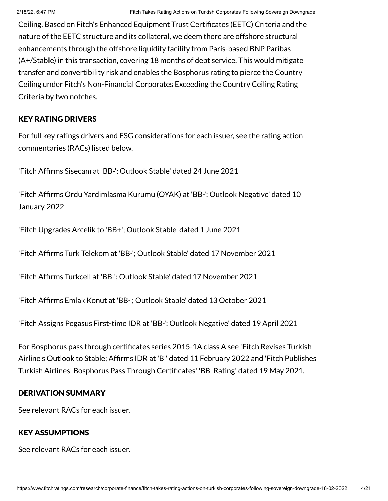Ceiling. Based on Fitch's Enhanced Equipment Trust Certificates (EETC) Criteria and the nature of the EETC structure and its collateral, we deem there are offshore structural enhancements through the offshore liquidity facility from Paris-based BNP Paribas (A+/Stable) in this transaction, covering 18 months of debt service. This would mitigate transfer and convertibility risk and enables the Bosphorus rating to pierce the Country Ceiling under Fitch's Non-Financial Corporates Exceeding the Country Ceiling Rating Criteria by two notches.

#### KEY RATING DRIVERS

For full key ratings drivers and ESG considerations for each issuer, see the rating action commentaries (RACs) listed below.

'Fitch Affirms Sisecam at 'BB-'; Outlook Stable' dated 24 June 2021

'Fitch Affirms Ordu Yardimlasma Kurumu (OYAK) at 'BB-'; Outlook Negative' dated 10 January 2022

'Fitch Upgrades Arcelik to 'BB+'; Outlook Stable' dated 1 June 2021

'Fitch Affirms Turk Telekom at 'BB-'; Outlook Stable' dated 17 November 2021

'Fitch Affirms Turkcell at 'BB-'; Outlook Stable' dated 17 November 2021

'Fitch Affirms Emlak Konut at 'BB-'; Outlook Stable' dated 13 October 2021

'Fitch Assigns Pegasus First-time IDR at 'BB-'; Outlook Negative' dated 19 April 2021

For Bosphorus pass through certificates series 2015-1A class A see 'Fitch Revises Turkish Airline's Outlook to Stable; Affirms IDR at 'B'' dated 11 February 2022 and 'Fitch Publishes Turkish Airlines' Bosphorus Pass Through Certificates' 'BB' Rating' dated 19 May 2021.

#### DERIVATION SUMMARY

See relevant RACs for each issuer.

#### KEY ASSUMPTIONS

See relevant RACs for each issuer.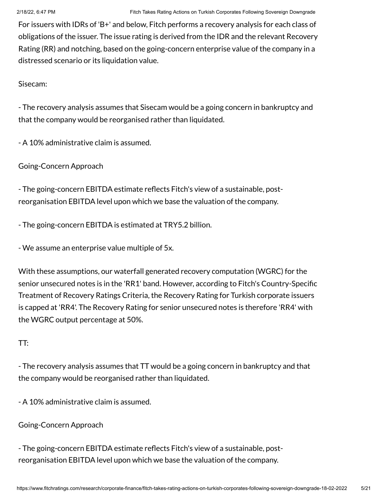For issuers with IDRs of 'B+' and below, Fitch performs a recovery analysis for each class of obligations of the issuer. The issue rating is derived from the IDR and the relevant Recovery Rating (RR) and notching, based on the going-concern enterprise value of the company in a distressed scenario or its liquidation value.

Sisecam:

- The recovery analysis assumes that Sisecam would be a going concern in bankruptcy and that the company would be reorganised rather than liquidated.

- A 10% administrative claim is assumed.

Going-Concern Approach

- The going-concern EBITDA estimate reflects Fitch's view of a sustainable, postreorganisation EBITDA level upon which we base the valuation of the company.

- The going-concern EBITDA is estimated at TRY5.2 billion.

- We assume an enterprise value multiple of 5x.

With these assumptions, our waterfall generated recovery computation (WGRC) for the senior unsecured notes is in the 'RR1' band. However, according to Fitch's Country-Specific Treatment of Recovery Ratings Criteria, the Recovery Rating for Turkish corporate issuers is capped at 'RR4'. The Recovery Rating for senior unsecured notes is therefore 'RR4' with the WGRC output percentage at 50%.

TT:

- The recovery analysis assumes that TT would be a going concern in bankruptcy and that the company would be reorganised rather than liquidated.

- A 10% administrative claim is assumed.

Going-Concern Approach

- The going-concern EBITDA estimate reflects Fitch's view of a sustainable, postreorganisation EBITDA level upon which we base the valuation of the company.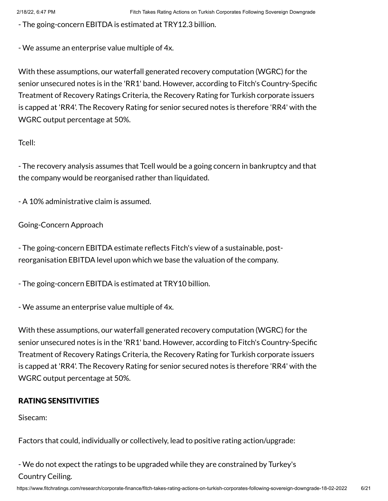- The going-concern EBITDA is estimated at TRY12.3 billion.

- We assume an enterprise value multiple of 4x.

With these assumptions, our waterfall generated recovery computation (WGRC) for the senior unsecured notes is in the 'RR1' band. However, according to Fitch's Country-Specific Treatment of Recovery Ratings Criteria, the Recovery Rating for Turkish corporate issuers is capped at 'RR4'. The Recovery Rating for senior secured notes is therefore 'RR4' with the WGRC output percentage at 50%.

# Tcell:

- The recovery analysis assumes that Tcell would be a going concern in bankruptcy and that the company would be reorganised rather than liquidated.

- A 10% administrative claim is assumed.

# Going-Concern Approach

- The going-concern EBITDA estimate reflects Fitch's view of a sustainable, postreorganisation EBITDA level upon which we base the valuation of the company.

- The going-concern EBITDA is estimated at TRY10 billion.

- We assume an enterprise value multiple of 4x.

With these assumptions, our waterfall generated recovery computation (WGRC) for the senior unsecured notes is in the 'RR1' band. However, according to Fitch's Country-Specific Treatment of Recovery Ratings Criteria, the Recovery Rating for Turkish corporate issuers is capped at 'RR4'. The Recovery Rating for senior secured notes is therefore 'RR4' with the WGRC output percentage at 50%.

# RATING SENSITIVITIES

Sisecam:

Factors that could, individually or collectively, lead to positive rating action/upgrade:

- We do not expect the ratings to be upgraded while they are constrained by Turkey's Country Ceiling.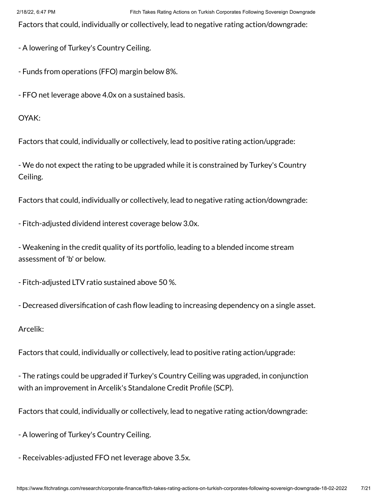Factors that could, individually or collectively, lead to negative rating action/downgrade:

- A lowering of Turkey's Country Ceiling.

- Funds from operations (FFO) margin below 8%.

- FFO net leverage above 4.0x on a sustained basis.

#### OYAK:

Factors that could, individually or collectively, lead to positive rating action/upgrade:

- We do not expect the rating to be upgraded while it is constrained by Turkey's Country Ceiling.

Factors that could, individually or collectively, lead to negative rating action/downgrade:

- Fitch-adjusted dividend interest coverage below 3.0x.

- Weakening in the credit quality of its portfolio, leading to a blended income stream assessment of 'b' or below.

- Fitch-adjusted LTV ratio sustained above 50 %.

- Decreased diversification of cash flow leading to increasing dependency on a single asset.

#### Arcelik:

Factors that could, individually or collectively, lead to positive rating action/upgrade:

- The ratings could be upgraded if Turkey's Country Ceiling was upgraded, in conjunction with an improvement in Arcelik's Standalone Credit Profile (SCP).

Factors that could, individually or collectively, lead to negative rating action/downgrade:

- A lowering of Turkey's Country Ceiling.

- Receivables-adjusted FFO net leverage above 3.5x.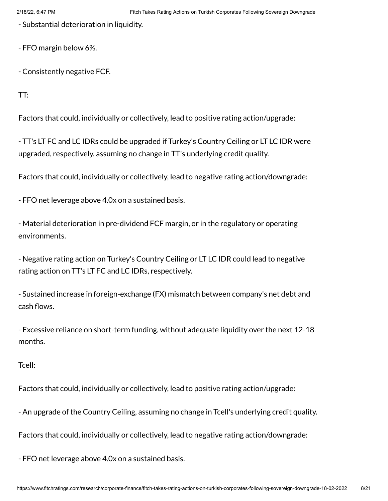- Substantial deterioration in liquidity.

- FFO margin below 6%.

- Consistently negative FCF.

TT:

Factors that could, individually or collectively, lead to positive rating action/upgrade:

- TT's LT FC and LC IDRs could be upgraded if Turkey's Country Ceiling or LT LC IDR were upgraded, respectively, assuming no change in TT's underlying credit quality.

Factors that could, individually or collectively, lead to negative rating action/downgrade:

- FFO net leverage above 4.0x on a sustained basis.

- Material deterioration in pre-dividend FCF margin, or in the regulatory or operating environments.

- Negative rating action on Turkey's Country Ceiling or LT LC IDR could lead to negative rating action on TT's LT FC and LC IDRs, respectively.

- Sustained increase in foreign-exchange (FX) mismatch between company's net debt and cash flows.

- Excessive reliance on short-term funding, without adequate liquidity over the next 12-18 months.

Tcell:

Factors that could, individually or collectively, lead to positive rating action/upgrade:

- An upgrade of the Country Ceiling, assuming no change in Tcell's underlying credit quality.

Factors that could, individually or collectively, lead to negative rating action/downgrade:

- FFO net leverage above 4.0x on a sustained basis.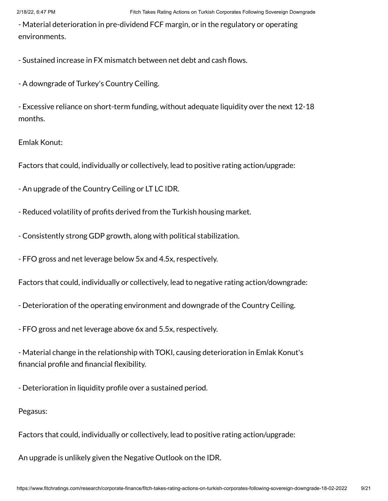- Material deterioration in pre-dividend FCF margin, or in the regulatory or operating environments.

- Sustained increase in FX mismatch between net debt and cash flows.

- A downgrade of Turkey's Country Ceiling.

- Excessive reliance on short-term funding, without adequate liquidity over the next 12-18 months.

Emlak Konut:

Factors that could, individually or collectively, lead to positive rating action/upgrade:

- An upgrade of the Country Ceiling or LT LC IDR.

- Reduced volatility of profits derived from the Turkish housing market.

- Consistently strong GDP growth, along with political stabilization.

- FFO gross and net leverage below 5x and 4.5x, respectively.

Factors that could, individually or collectively, lead to negative rating action/downgrade:

- Deterioration of the operating environment and downgrade of the Country Ceiling.

- FFO gross and net leverage above 6x and 5.5x, respectively.

- Material change in the relationship with TOKI, causing deterioration in Emlak Konut's financial profile and financial flexibility.

- Deterioration in liquidity profile over a sustained period.

Pegasus:

Factors that could, individually or collectively, lead to positive rating action/upgrade:

An upgrade is unlikely given the Negative Outlook on the IDR.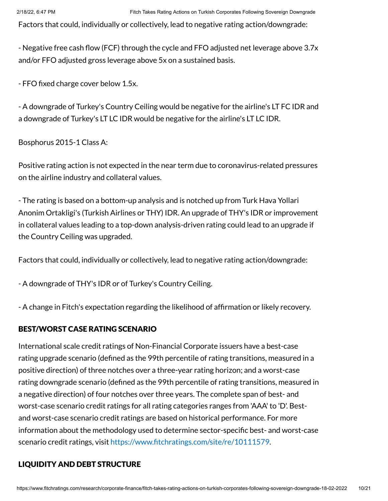Factors that could, individually or collectively, lead to negative rating action/downgrade:

- Negative free cash flow (FCF) through the cycle and FFO adjusted net leverage above 3.7x and/or FFO adjusted gross leverage above 5x on a sustained basis.

- FFO fixed charge cover below 1.5x.

- A downgrade of Turkey's Country Ceiling would be negative for the airline's LT FC IDR and a downgrade of Turkey's LT LC IDR would be negative for the airline's LT LC IDR.

Bosphorus 2015-1 Class A:

Positive rating action is not expected in the near term due to coronavirus-related pressures on the airline industry and collateral values.

- The rating is based on a bottom-up analysis and is notched up from Turk Hava Yollari Anonim Ortakligi's (Turkish Airlines or THY) IDR. An upgrade of THY's IDR or improvement in collateral values leading to a top-down analysis-driven rating could lead to an upgrade if the Country Ceiling was upgraded.

Factors that could, individually or collectively, lead to negative rating action/downgrade:

- A downgrade of THY's IDR or of Turkey's Country Ceiling.

- A change in Fitch's expectation regarding the likelihood of affirmation or likely recovery.

#### BEST/WORST CASE RATING SCENARIO

International scale credit ratings of Non-Financial Corporate issuers have a best-case rating upgrade scenario (defined as the 99th percentile of rating transitions, measured in a positive direction) of three notches over a three-year rating horizon; and a worst-case rating downgrade scenario (defined as the 99th percentile of rating transitions, measured in a negative direction) of four notches over three years. The complete span of best- and worst-case scenario credit ratings for all rating categories ranges from 'AAA' to 'D'. Bestand worst-case scenario credit ratings are based on historical performance. For more information about the methodology used to determine sector-specific best- and worst-case scenario credit ratings, visit [https://www.fitchratings.com/site/re/10111579.](https://www.fitchratings.com/site/re/10111579)

#### LIQUIDITY AND DEBT STRUCTURE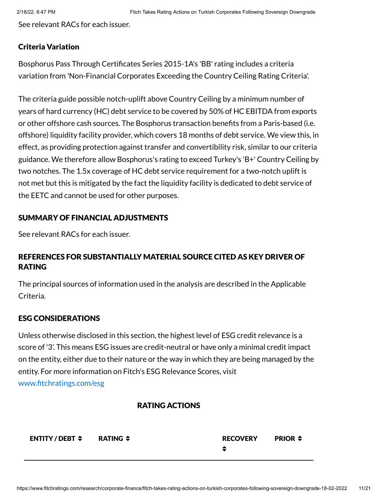See relevant RACs for each issuer.

#### Criteria Variation

Bosphorus Pass Through Certificates Series 2015-1A's 'BB' rating includes a criteria variation from 'Non-Financial Corporates Exceeding the Country Ceiling Rating Criteria'.

The criteria guide possible notch-uplift above Country Ceiling by a minimum number of years of hard currency (HC) debt service to be covered by 50% of HC EBITDA from exports or other offshore cash sources. The Bosphorus transaction benefits from a Paris-based (i.e. offshore) liquidity facility provider, which covers 18 months of debt service. We view this, in effect, as providing protection against transfer and convertibility risk, similar to our criteria guidance. We therefore allow Bosphorus's rating to exceed Turkey's 'B+' Country Ceiling by two notches. The 1.5x coverage of HC debt service requirement for a two-notch uplift is not met but this is mitigated by the fact the liquidity facility is dedicated to debt service of the EETC and cannot be used for other purposes.

#### SUMMARY OF FINANCIAL ADJUSTMENTS

See relevant RACs for each issuer.

# REFERENCES FOR SUBSTANTIALLY MATERIAL SOURCE CITED AS KEY DRIVER OF RATING

The principal sources of information used in the analysis are described in the Applicable Criteria.

#### ESG CONSIDERATIONS

Unless otherwise disclosed in this section, the highest level of ESG credit relevance is a score of '3'. This means ESG issues are credit-neutral or have only a minimal credit impact on the entity, either due to their nature or the way in which they are being managed by the entity. For more information on Fitch's ESG Relevance Scores, visit [www.fitchratings.com/esg](http://www.fitchratings.com/esg)

#### RATING ACTIONS

| ENTITY / DEBT $\div$ | <b>RATING ≑</b> | <b>RECOVERY</b> | <b>PRIOR <math>\div</math></b> |
|----------------------|-----------------|-----------------|--------------------------------|
|                      |                 |                 |                                |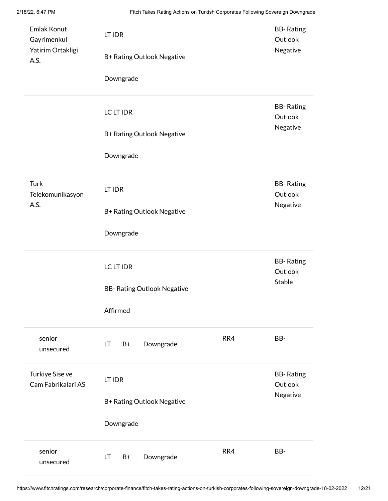| <b>Emlak Konut</b><br>Gayrimenkul<br>Yatirim Ortakligi<br>A.S. | LT IDR<br>B+ Rating Outlook Negative<br>Downgrade          |     | <b>BB-Rating</b><br>Outlook<br>Negative |
|----------------------------------------------------------------|------------------------------------------------------------|-----|-----------------------------------------|
|                                                                | LC LT IDR<br>B+ Rating Outlook Negative<br>Downgrade       |     | <b>BB-Rating</b><br>Outlook<br>Negative |
| <b>Turk</b><br>Telekomunikasyon<br>A.S.                        | LT IDR<br>B+ Rating Outlook Negative<br>Downgrade          |     | <b>BB-Rating</b><br>Outlook<br>Negative |
|                                                                | LC LT IDR<br><b>BB-Rating Outlook Negative</b><br>Affirmed |     | <b>BB-Rating</b><br>Outlook<br>Stable   |
| senior<br>unsecured                                            | LT<br>$B+$<br>Downgrade                                    | RR4 | BB-                                     |
| Turkiye Sise ve<br>Cam Fabrikalari AS                          | LT IDR<br>B+ Rating Outlook Negative<br>Downgrade          |     | <b>BB-Rating</b><br>Outlook<br>Negative |
| senior<br>unsecured                                            | LT<br>Downgrade<br>B+                                      | RR4 | BB-                                     |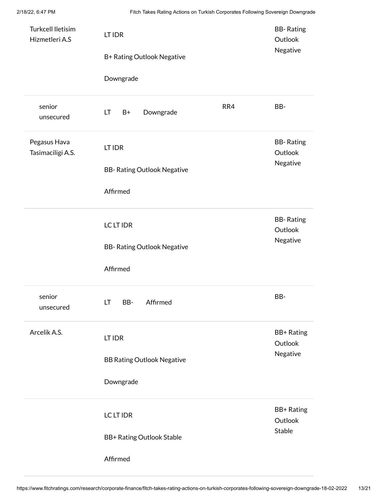| <b>Turkcell Iletisim</b><br>Hizmetleri A.S | LT IDR<br>B+ Rating Outlook Negative        | <b>BB-Rating</b><br>Outlook<br>Negative |
|--------------------------------------------|---------------------------------------------|-----------------------------------------|
|                                            | Downgrade                                   |                                         |
| senior<br>unsecured                        | RR4<br>LT<br>Downgrade<br>B+                | BB-                                     |
| Pegasus Hava<br>Tasimaciligi A.S.          | LT IDR<br><b>BB-Rating Outlook Negative</b> | <b>BB-Rating</b><br>Outlook<br>Negative |
|                                            | Affirmed                                    |                                         |
|                                            | LC LT IDR                                   | <b>BB-Rating</b><br>Outlook             |
|                                            | <b>BB-Rating Outlook Negative</b>           | Negative                                |
|                                            | Affirmed                                    |                                         |
| senior<br>unsecured                        | LT<br>BB-<br>Affirmed                       | BB-                                     |
| Arcelik A.S.                               | LT IDR                                      | <b>BB+ Rating</b><br>Outlook            |
|                                            | <b>BB Rating Outlook Negative</b>           | Negative                                |
|                                            | Downgrade                                   |                                         |
|                                            | LC LT IDR                                   | <b>BB+Rating</b><br>Outlook             |
|                                            | BB+ Rating Outlook Stable                   | Stable                                  |
|                                            | Affirmed                                    |                                         |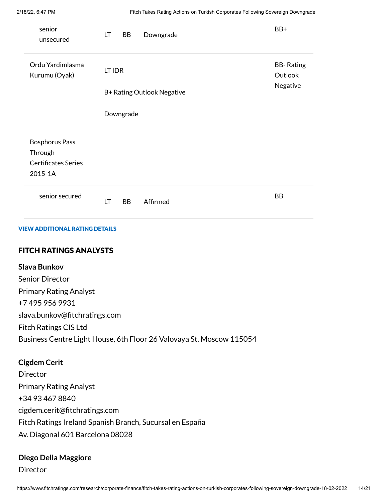| senior<br>unsecured                                                       | LT<br>BB<br>Downgrade                | BB+                                     |
|---------------------------------------------------------------------------|--------------------------------------|-----------------------------------------|
| Ordu Yardimlasma<br>Kurumu (Oyak)                                         | LT IDR<br>B+ Rating Outlook Negative | <b>BB-Rating</b><br>Outlook<br>Negative |
|                                                                           | Downgrade                            |                                         |
| <b>Bosphorus Pass</b><br>Through<br><b>Certificates Series</b><br>2015-1A |                                      |                                         |
| senior secured                                                            | LT<br>Affirmed<br><b>BB</b>          | <b>BB</b>                               |

#### VIEW ADDITIONAL RATING DETAILS

#### FITCH RATINGS ANALYSTS

#### **Slava Bunkov**

Senior Director Primary Rating Analyst +7 495 956 9931 slava.bunkov@fitchratings.com Fitch Ratings CIS Ltd Business Centre Light House, 6th Floor 26 Valovaya St. Moscow 115054

# **Cigdem Cerit**

**Director** Primary Rating Analyst +34 93 467 8840 cigdem.cerit@fitchratings.com Fitch Ratings Ireland Spanish Branch, Sucursal en España Av. Diagonal 601 Barcelona 08028

# **Diego Della Maggiore**

Director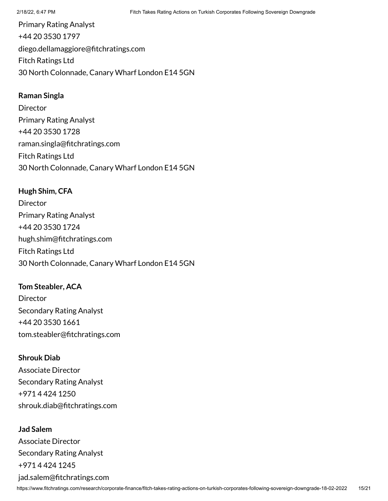Primary Rating Analyst +44 20 3530 1797 diego.dellamaggiore@fitchratings.com Fitch Ratings Ltd 30 North Colonnade, Canary Wharf London E14 5GN

#### **Raman Singla**

**Director** Primary Rating Analyst +44 20 3530 1728 raman.singla@fitchratings.com Fitch Ratings Ltd 30 North Colonnade, Canary Wharf London E14 5GN

#### **Hugh Shim, CFA**

**Director** Primary Rating Analyst +44 20 3530 1724 hugh.shim@fitchratings.com Fitch Ratings Ltd 30 North Colonnade, Canary Wharf London E14 5GN

#### **Tom Steabler, ACA**

**Director** Secondary Rating Analyst +44 20 3530 1661 tom.steabler@fitchratings.com

#### **Shrouk Diab**

Associate Director Secondary Rating Analyst +971 4 424 1250 shrouk.diab@fitchratings.com

# **Jad Salem**

Associate Director Secondary Rating Analyst +971 4 424 1245 jad.salem@fitchratings.com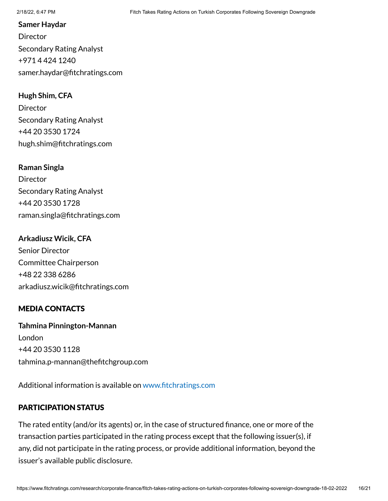#### **Samer Haydar**

**Director** Secondary Rating Analyst +971 4 424 1240 samer.haydar@fitchratings.com

#### **Hugh Shim, CFA**

**Director** Secondary Rating Analyst +44 20 3530 1724 hugh.shim@fitchratings.com

#### **Raman Singla**

**Director** Secondary Rating Analyst +44 20 3530 1728 raman.singla@fitchratings.com

#### **Arkadiusz Wicik, CFA**

Senior Director Committee Chairperson +48 22 338 6286 arkadiusz.wicik@fitchratings.com

# MEDIA CONTACTS

**Tahmina Pinnington-Mannan** London +44 20 3530 1128 tahmina.p-mannan@thefitchgroup.com

Additional information is available on [www.fitchratings.com](http://www.fitchratings.com/)

#### PARTICIPATION STATUS

The rated entity (and/or its agents) or, in the case of structured finance, one or more of the transaction parties participated in the rating process except that the following issuer(s), if any, did not participate in the rating process, or provide additional information, beyond the issuer's available public disclosure.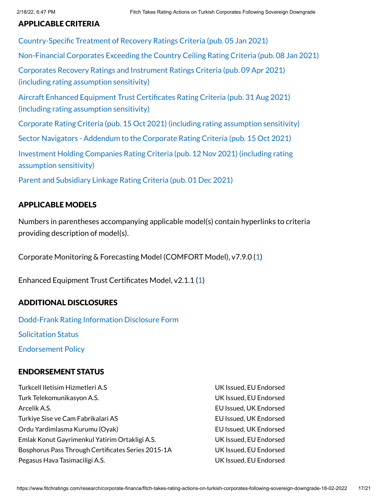#### APPLICABLE CRITERIA

[Country-Specific Treatment](https://www.fitchratings.com/research/corporate-finance/country-specific-treatment-of-recovery-ratings-criteria-05-01-2021) of Recovery Ratings Criteria (pub. 05 Jan 2021) [Non-Financial](https://www.fitchratings.com/research/corporate-finance/non-financial-corporates-exceeding-country-ceiling-rating-criteria-08-01-2021) Corporates Exceeding the Country Ceiling Rating Criteria (pub. 08 Jan 2021) Corporates Recovery Ratings and Instrument [Ratings Criteria](https://www.fitchratings.com/research/corporate-finance/corporates-recovery-ratings-instrument-ratings-criteria-09-04-2021) (pub. 09 Apr 2021) (including rating assumption sensitivity) Aircraft [Enhanced Equipment](https://www.fitchratings.com/research/corporate-finance/aircraft-enhanced-equipment-trust-certificates-rating-criteria-31-08-2021) Trust Certificates Rating Criteria (pub. 31 Aug 2021) (including rating assumption sensitivity) Corporate Rating Criteria (pub. 15 Oct 2021) (including rating [assumption](https://www.fitchratings.com/research/corporate-finance/corporate-rating-criteria-15-10-2021) sensitivity) Sector Navigators - [Addendum](https://www.fitchratings.com/research/corporate-finance/sector-navigators-addendum-to-corporate-rating-criteria-15-10-2021) to the Corporate Rating Criteria (pub. 15 Oct 2021) Investment Holding Companies Rating Criteria (pub. 12 Nov 2021) (including rating [assumption](https://www.fitchratings.com/research/corporate-finance/investment-holding-companies-rating-criteria-12-11-2021) sensitivity)

Parent [and Subsidiary](https://www.fitchratings.com/research/corporate-finance/parent-subsidiary-linkage-rating-criteria-01-12-2021) Linkage Rating Criteria (pub. 01 Dec 2021)

#### APPLICABLE MODELS

Numbers in parentheses accompanying applicable model(s) contain hyperlinks to criteria providing description of model(s).

Corporate Monitoring & Forecasting Model (COMFORT Model), v7.9.0 ([1\)](https://www.fitchratings.com/research/corporate-finance/corporate-rating-criteria-15-10-2021)

Enhanced Equipment Trust Certificates Model, v2.1.1 [\(1](https://www.fitchratings.com/research/corporate-finance/aircraft-enhanced-equipment-trust-certificates-rating-criteria-31-08-2021))

#### ADDITIONAL DISCLOSURES

[Dodd-Frank](https://www.fitchratings.com/research/corporate-finance/fitch-takes-rating-actions-on-turkish-corporates-following-sovereign-downgrade-18-02-2022/dodd-frank-disclosure) Rating Information Disclosure Form Solicitation Status [Endorsement](#page-19-0) Policy

#### ENDORSEMENT STATUS

Turkcell Iletisim Hizmetleri A.S New York 1980 NE UK Issued, EU Endorsed Turk Telekomunikasyon A.S. UK Issued, EU Endorsed Arcelik A.S. EU Issued, UK Endorsed Turkiye Sise ve Cam Fabrikalari AS EU Issued, UK Endorsed Ordu Yardimlasma Kurumu (Oyak) EU Issued, UK Endorsed Emlak Konut Gayrimenkul Yatirim Ortakligi A.S. UK Issued, EU Endorsed Bosphorus Pass Through Certificates Series 2015-1A UK Issued, EU Endorsed Pegasus Hava Tasimaciligi A.S. UK Issued, EU Endorsed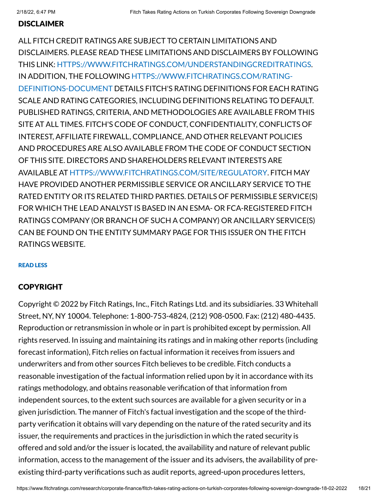#### DISCLAIMER

ALL FITCH CREDIT RATINGS ARE SUBJECT TO CERTAIN LIMITATIONS AND DISCLAIMERS. PLEASE READ THESE LIMITATIONS AND DISCLAIMERS BY FOLLOWING THIS LINK: [HTTPS://WWW.FITCHRATINGS.COM/UNDERSTANDINGCREDITRATINGS](https://www.fitchratings.com/UNDERSTANDINGCREDITRATINGS). IN ADDITION, THE FOLLOWING [HTTPS://WWW.FITCHRATINGS.COM/RATING-](https://www.fitchratings.com/rating-definitions-document)DEFINITIONS-DOCUMENT DETAILS FITCH'S RATING DEFINITIONS FOR EACH RATING SCALE AND RATING CATEGORIES, INCLUDING DEFINITIONS RELATING TO DEFAULT. PUBLISHED RATINGS, CRITERIA, AND METHODOLOGIES ARE AVAILABLE FROM THIS SITE AT ALL TIMES. FITCH'S CODE OF CONDUCT, CONFIDENTIALITY, CONFLICTS OF INTEREST, AFFILIATE FIREWALL, COMPLIANCE, AND OTHER RELEVANT POLICIES AND PROCEDURES ARE ALSO AVAILABLE FROM THE CODE OF CONDUCT SECTION OF THIS SITE. DIRECTORS AND SHAREHOLDERS RELEVANT INTERESTS ARE AVAILABLE AT [HTTPS://WWW.FITCHRATINGS.COM/SITE/REGULATORY](https://www.fitchratings.com/site/regulatory). FITCH MAY HAVE PROVIDED ANOTHER PERMISSIBLE SERVICE OR ANCILLARY SERVICE TO THE RATED ENTITY OR ITS RELATED THIRD PARTIES. DETAILS OF PERMISSIBLE SERVICE(S) FOR WHICH THE LEAD ANALYST IS BASED IN AN ESMA- OR FCA-REGISTERED FITCH RATINGS COMPANY (OR BRANCH OF SUCH A COMPANY) OR ANCILLARY SERVICE(S) CAN BE FOUND ON THE ENTITY SUMMARY PAGE FOR THIS ISSUER ON THE FITCH RATINGS WEBSITE.

#### READ LESS

# COPYRIGHT

Copyright © 2022 by Fitch Ratings, Inc., Fitch Ratings Ltd. and its subsidiaries. 33 Whitehall Street, NY, NY 10004. Telephone: 1-800-753-4824, (212) 908-0500. Fax: (212) 480-4435. Reproduction or retransmission in whole or in part is prohibited except by permission. All rights reserved. In issuing and maintaining its ratings and in making other reports (including forecast information), Fitch relies on factual information it receives from issuers and underwriters and from other sources Fitch believes to be credible. Fitch conducts a reasonable investigation of the factual information relied upon by it in accordance with its ratings methodology, and obtains reasonable verification of that information from independent sources, to the extent such sources are available for a given security or in a given jurisdiction. The manner of Fitch's factual investigation and the scope of the thirdparty verification it obtains will vary depending on the nature of the rated security and its issuer, the requirements and practices in the jurisdiction in which the rated security is offered and sold and/or the issuer is located, the availability and nature of relevant public information, access to the management of the issuer and its advisers, the availability of preexisting third-party verifications such as audit reports, agreed-upon procedures letters,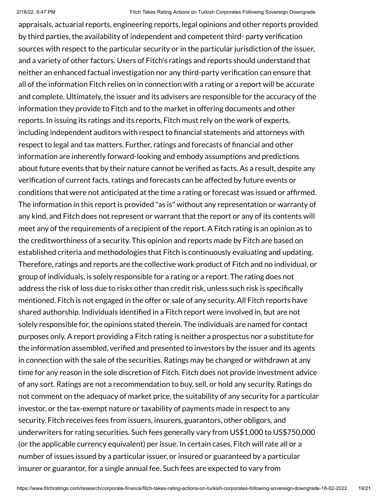appraisals, actuarial reports, engineering reports, legal opinions and other reports provided by third parties, the availability of independent and competent third- party verification sources with respect to the particular security or in the particular jurisdiction of the issuer, and a variety of other factors. Users of Fitch's ratings and reports should understand that neither an enhanced factual investigation nor any third-party verification can ensure that all of the information Fitch relies on in connection with a rating or a report will be accurate and complete. Ultimately, the issuer and its advisers are responsible for the accuracy of the information they provide to Fitch and to the market in offering documents and other reports. In issuing its ratings and its reports, Fitch must rely on the work of experts, including independent auditors with respect to financial statements and attorneys with respect to legal and tax matters. Further, ratings and forecasts of financial and other information are inherently forward-looking and embody assumptions and predictions about future events that by their nature cannot be verified as facts. As a result, despite any verification of current facts, ratings and forecasts can be affected by future events or conditions that were not anticipated at the time a rating or forecast was issued or affirmed. The information in this report is provided "as is" without any representation or warranty of any kind, and Fitch does not represent or warrant that the report or any of its contents will meet any of the requirements of a recipient of the report. A Fitch rating is an opinion as to the creditworthiness of a security. This opinion and reports made by Fitch are based on established criteria and methodologies that Fitch is continuously evaluating and updating. Therefore, ratings and reports are the collective work product of Fitch and no individual, or group of individuals, is solely responsible for a rating or a report. The rating does not address the risk of loss due to risks other than credit risk, unless such risk is specifically mentioned. Fitch is not engaged in the offer or sale of any security. All Fitch reports have shared authorship. Individuals identified in a Fitch report were involved in, but are not solely responsible for, the opinions stated therein. The individuals are named for contact purposes only. A report providing a Fitch rating is neither a prospectus nor a substitute for the information assembled, verified and presented to investors by the issuer and its agents in connection with the sale of the securities. Ratings may be changed or withdrawn at any time for any reason in the sole discretion of Fitch. Fitch does not provide investment advice of any sort. Ratings are not a recommendation to buy, sell, or hold any security. Ratings do not comment on the adequacy of market price, the suitability of any security for a particular investor, or the tax-exempt nature or taxability of payments made in respect to any security. Fitch receives fees from issuers, insurers, guarantors, other obligors, and underwriters for rating securities. Such fees generally vary from US\$1,000 to US\$750,000 (or the applicable currency equivalent) per issue. In certain cases, Fitch will rate all or a number of issues issued by a particular issuer, or insured or guaranteed by a particular insurer or guarantor, for a single annual fee. Such fees are expected to vary from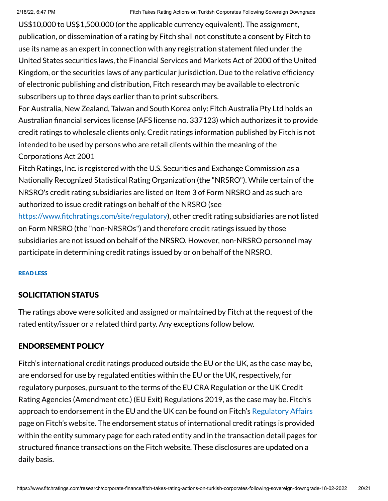US\$10,000 to US\$1,500,000 (or the applicable currency equivalent). The assignment, publication, or dissemination of a rating by Fitch shall not constitute a consent by Fitch to use its name as an expert in connection with any registration statement filed under the United States securities laws, the Financial Services and Markets Act of 2000 of the United Kingdom, or the securities laws of any particular jurisdiction. Due to the relative efficiency of electronic publishing and distribution, Fitch research may be available to electronic subscribers up to three days earlier than to print subscribers.

For Australia, New Zealand, Taiwan and South Korea only: Fitch Australia Pty Ltd holds an Australian financial services license (AFS license no. 337123) which authorizes it to provide credit ratings to wholesale clients only. Credit ratings information published by Fitch is not intended to be used by persons who are retail clients within the meaning of the Corporations Act 2001

Fitch Ratings, Inc. is registered with the U.S. Securities and Exchange Commission as a Nationally Recognized Statistical Rating Organization (the "NRSRO"). While certain of the NRSRO's credit rating subsidiaries are listed on Item 3 of Form NRSRO and as such are authorized to issue credit ratings on behalf of the NRSRO (see

[https://www.fitchratings.com/site/regulatory\)](https://www.fitchratings.com/site/regulatory), other credit rating subsidiaries are not listed on Form NRSRO (the "non-NRSROs") and therefore credit ratings issued by those subsidiaries are not issued on behalf of the NRSRO. However, non-NRSRO personnel may participate in determining credit ratings issued by or on behalf of the NRSRO.

#### READ LESS

#### SOLICITATION STATUS

The ratings above were solicited and assigned or maintained by Fitch at the request of the rated entity/issuer or a related third party. Any exceptions follow below.

#### <span id="page-19-0"></span>ENDORSEMENT POLICY

Fitch's international credit ratings produced outside the EU or the UK, as the case may be, are endorsed for use by regulated entities within the EU or the UK, respectively, for regulatory purposes, pursuant to the terms of the EU CRA Regulation or the UK Credit Rating Agencies (Amendment etc.) (EU Exit) Regulations 2019, as the case may be. Fitch's approach to endorsement in the EU and the UK can be found on Fitch's [Regulatory](https://www.fitchratings.com/regulatory) Affairs page on Fitch's website. The endorsement status of international credit ratings is provided within the entity summary page for each rated entity and in the transaction detail pages for structured finance transactions on the Fitch website. These disclosures are updated on a daily basis.